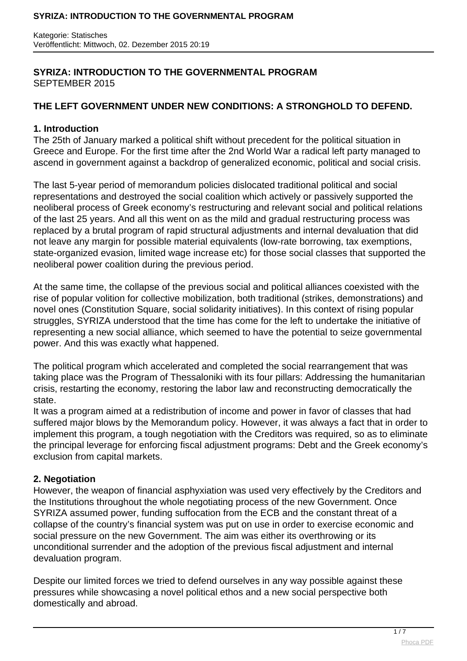# **SYRIZA: INTRODUCTION TO THE GOVERNMENTAL PROGRAM** SEPTEMBER 2015

# **THE LEFT GOVERNMENT UNDER NEW CONDITIONS: A STRONGHOLD TO DEFEND.**

### **1. Introduction**

The 25th of January marked a political shift without precedent for the political situation in Greece and Europe. For the first time after the 2nd World War a radical left party managed to ascend in government against a backdrop of generalized economic, political and social crisis.

The last 5-year period of memorandum policies dislocated traditional political and social representations and destroyed the social coalition which actively or passively supported the neoliberal process of Greek economy's restructuring and relevant social and political relations of the last 25 years. And all this went on as the mild and gradual restructuring process was replaced by a brutal program of rapid structural adjustments and internal devaluation that did not leave any margin for possible material equivalents (low-rate borrowing, tax exemptions, state-organized evasion, limited wage increase etc) for those social classes that supported the neoliberal power coalition during the previous period.

At the same time, the collapse of the previous social and political alliances coexisted with the rise of popular volition for collective mobilization, both traditional (strikes, demonstrations) and novel ones (Constitution Square, social solidarity initiatives). In this context of rising popular struggles, SYRIZA understood that the time has come for the left to undertake the initiative of representing a new social alliance, which seemed to have the potential to seize governmental power. And this was exactly what happened.

The political program which accelerated and completed the social rearrangement that was taking place was the Program of Thessaloniki with its four pillars: Addressing the humanitarian crisis, restarting the economy, restoring the labor law and reconstructing democratically the state.

It was a program aimed at a redistribution of income and power in favor of classes that had suffered major blows by the Memorandum policy. However, it was always a fact that in order to implement this program, a tough negotiation with the Creditors was required, so as to eliminate the principal leverage for enforcing fiscal adjustment programs: Debt and the Greek economy's exclusion from capital markets.

# **2. Negotiation**

However, the weapon of financial asphyxiation was used very effectively by the Creditors and the Institutions throughout the whole negotiating process of the new Government. Once SYRIZA assumed power, funding suffocation from the ECB and the constant threat of a collapse of the country's financial system was put on use in order to exercise economic and social pressure on the new Government. The aim was either its overthrowing or its unconditional surrender and the adoption of the previous fiscal adjustment and internal devaluation program.

Despite our limited forces we tried to defend ourselves in any way possible against these pressures while showcasing a novel political ethos and a new social perspective both domestically and abroad.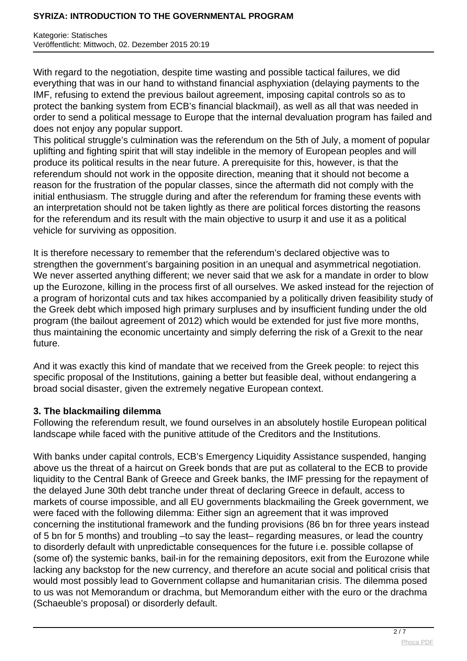### **SYRIZA: INTRODUCTION TO THE GOVERNMENTAL PROGRAM**

Kategorie: Statisches Veröffentlicht: Mittwoch, 02. Dezember 2015 20:19

With regard to the negotiation, despite time wasting and possible tactical failures, we did everything that was in our hand to withstand financial asphyxiation (delaying payments to the IMF, refusing to extend the previous bailout agreement, imposing capital controls so as to protect the banking system from ECB's financial blackmail), as well as all that was needed in order to send a political message to Europe that the internal devaluation program has failed and does not enjoy any popular support.

This political struggle's culmination was the referendum on the 5th of July, a moment of popular uplifting and fighting spirit that will stay indelible in the memory of European peoples and will produce its political results in the near future. A prerequisite for this, however, is that the referendum should not work in the opposite direction, meaning that it should not become a reason for the frustration of the popular classes, since the aftermath did not comply with the initial enthusiasm. The struggle during and after the referendum for framing these events with an interpretation should not be taken lightly as there are political forces distorting the reasons for the referendum and its result with the main objective to usurp it and use it as a political vehicle for surviving as opposition.

It is therefore necessary to remember that the referendum's declared objective was to strengthen the government's bargaining position in an unequal and asymmetrical negotiation. We never asserted anything different; we never said that we ask for a mandate in order to blow up the Eurozone, killing in the process first of all ourselves. We asked instead for the rejection of a program of horizontal cuts and tax hikes accompanied by a politically driven feasibility study of the Greek debt which imposed high primary surpluses and by insufficient funding under the old program (the bailout agreement of 2012) which would be extended for just five more months, thus maintaining the economic uncertainty and simply deferring the risk of a Grexit to the near future.

And it was exactly this kind of mandate that we received from the Greek people: to reject this specific proposal of the Institutions, gaining a better but feasible deal, without endangering a broad social disaster, given the extremely negative European context.

#### **3. The blackmailing dilemma**

Following the referendum result, we found ourselves in an absolutely hostile European political landscape while faced with the punitive attitude of the Creditors and the Institutions.

With banks under capital controls, ECB's Emergency Liquidity Assistance suspended, hanging above us the threat of a haircut on Greek bonds that are put as collateral to the ECB to provide liquidity to the Central Bank of Greece and Greek banks, the IMF pressing for the repayment of the delayed June 30th debt tranche under threat of declaring Greece in default, access to markets of course impossible, and all EU governments blackmailing the Greek government, we were faced with the following dilemma: Either sign an agreement that it was improved concerning the institutional framework and the funding provisions (86 bn for three years instead of 5 bn for 5 months) and troubling –to say the least– regarding measures, or lead the country to disorderly default with unpredictable consequences for the future i.e. possible collapse of (some of) the systemic banks, bail-in for the remaining depositors, exit from the Eurozone while lacking any backstop for the new currency, and therefore an acute social and political crisis that would most possibly lead to Government collapse and humanitarian crisis. The dilemma posed to us was not Memorandum or drachma, but Memorandum either with the euro or the drachma (Schaeuble's proposal) or disorderly default.

 $2/7$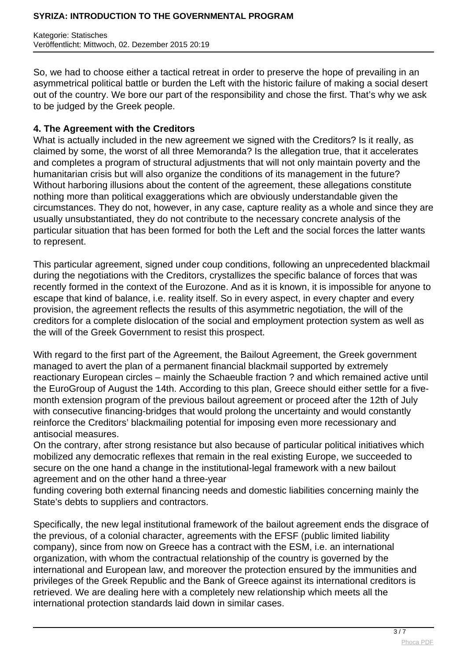So, we had to choose either a tactical retreat in order to preserve the hope of prevailing in an asymmetrical political battle or burden the Left with the historic failure of making a social desert out of the country. We bore our part of the responsibility and chose the first. That's why we ask to be judged by the Greek people.

### **4. The Agreement with the Creditors**

What is actually included in the new agreement we signed with the Creditors? Is it really, as claimed by some, the worst of all three Memoranda? Is the allegation true, that it accelerates and completes a program of structural adjustments that will not only maintain poverty and the humanitarian crisis but will also organize the conditions of its management in the future? Without harboring illusions about the content of the agreement, these allegations constitute nothing more than political exaggerations which are obviously understandable given the circumstances. They do not, however, in any case, capture reality as a whole and since they are usually unsubstantiated, they do not contribute to the necessary concrete analysis of the particular situation that has been formed for both the Left and the social forces the latter wants to represent.

This particular agreement, signed under coup conditions, following an unprecedented blackmail during the negotiations with the Creditors, crystallizes the specific balance of forces that was recently formed in the context of the Eurozone. And as it is known, it is impossible for anyone to escape that kind of balance, i.e. reality itself. So in every aspect, in every chapter and every provision, the agreement reflects the results of this asymmetric negotiation, the will of the creditors for a complete dislocation of the social and employment protection system as well as the will of the Greek Government to resist this prospect.

With regard to the first part of the Agreement, the Bailout Agreement, the Greek government managed to avert the plan of a permanent financial blackmail supported by extremely reactionary European circles – mainly the Schaeuble fraction ? and which remained active until the EuroGroup of August the 14th. According to this plan, Greece should either settle for a fivemonth extension program of the previous bailout agreement or proceed after the 12th of July with consecutive financing-bridges that would prolong the uncertainty and would constantly reinforce the Creditors' blackmailing potential for imposing even more recessionary and antisocial measures.

On the contrary, after strong resistance but also because of particular political initiatives which mobilized any democratic reflexes that remain in the real existing Europe, we succeeded to secure on the one hand a change in the institutional-legal framework with a new bailout agreement and on the other hand a three-year

funding covering both external financing needs and domestic liabilities concerning mainly the State's debts to suppliers and contractors.

Specifically, the new legal institutional framework of the bailout agreement ends the disgrace of the previous, of a colonial character, agreements with the EFSF (public limited liability company), since from now on Greece has a contract with the ESM, i.e. an international organization, with whom the contractual relationship of the country is governed by the international and European law, and moreover the protection ensured by the immunities and privileges of the Greek Republic and the Bank of Greece against its international creditors is retrieved. We are dealing here with a completely new relationship which meets all the international protection standards laid down in similar cases.

 $\frac{3}{7}$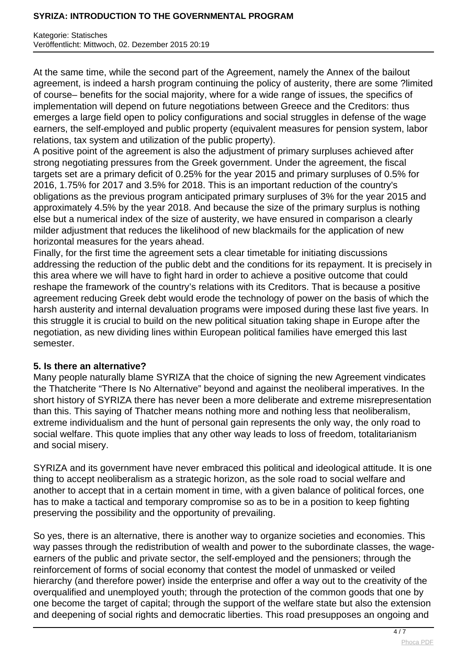#### **SYRIZA: INTRODUCTION TO THE GOVERNMENTAL PROGRAM**

Kategorie: Statisches Veröffentlicht: Mittwoch, 02. Dezember 2015 20:19

At the same time, while the second part of the Agreement, namely the Annex of the bailout agreement, is indeed a harsh program continuing the policy of austerity, there are some ?limited of course– benefits for the social majority, where for a wide range of issues, the specifics of implementation will depend on future negotiations between Greece and the Creditors: thus emerges a large field open to policy configurations and social struggles in defense of the wage earners, the self-employed and public property (equivalent measures for pension system, labor relations, tax system and utilization of the public property).

A positive point of the agreement is also the adjustment of primary surpluses achieved after strong negotiating pressures from the Greek government. Under the agreement, the fiscal targets set are a primary deficit of 0.25% for the year 2015 and primary surpluses of 0.5% for 2016, 1.75% for 2017 and 3.5% for 2018. This is an important reduction of the country's obligations as the previous program anticipated primary surpluses of 3% for the year 2015 and approximately 4.5% by the year 2018. And because the size of the primary surplus is nothing else but a numerical index of the size of austerity, we have ensured in comparison a clearly milder adjustment that reduces the likelihood of new blackmails for the application of new horizontal measures for the years ahead.

Finally, for the first time the agreement sets a clear timetable for initiating discussions addressing the reduction of the public debt and the conditions for its repayment. It is precisely in this area where we will have to fight hard in order to achieve a positive outcome that could reshape the framework of the country's relations with its Creditors. That is because a positive agreement reducing Greek debt would erode the technology of power on the basis of which the harsh austerity and internal devaluation programs were imposed during these last five years. In this struggle it is crucial to build on the new political situation taking shape in Europe after the negotiation, as new dividing lines within European political families have emerged this last semester.

#### **5. Is there an alternative?**

Many people naturally blame SYRIZA that the choice of signing the new Agreement vindicates the Thatcherite "There Is No Alternative" beyond and against the neoliberal imperatives. In the short history of SYRIZA there has never been a more deliberate and extreme misrepresentation than this. This saying of Thatcher means nothing more and nothing less that neoliberalism, extreme individualism and the hunt of personal gain represents the only way, the only road to social welfare. This quote implies that any other way leads to loss of freedom, totalitarianism and social misery.

SYRIZA and its government have never embraced this political and ideological attitude. It is one thing to accept neoliberalism as a strategic horizon, as the sole road to social welfare and another to accept that in a certain moment in time, with a given balance of political forces, one has to make a tactical and temporary compromise so as to be in a position to keep fighting preserving the possibility and the opportunity of prevailing.

So yes, there is an alternative, there is another way to organize societies and economies. This way passes through the redistribution of wealth and power to the subordinate classes, the wageearners of the public and private sector, the self-employed and the pensioners; through the reinforcement of forms of social economy that contest the model of unmasked or veiled hierarchy (and therefore power) inside the enterprise and offer a way out to the creativity of the overqualified and unemployed youth; through the protection of the common goods that one by one become the target of capital; through the support of the welfare state but also the extension and deepening of social rights and democratic liberties. This road presupposes an ongoing and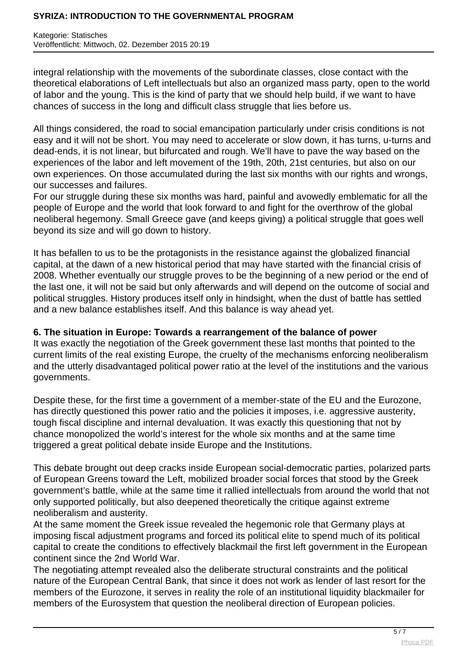### **SYRIZA: INTRODUCTION TO THE GOVERNMENTAL PROGRAM**

Kategorie: Statisches Veröffentlicht: Mittwoch, 02. Dezember 2015 20:19

integral relationship with the movements of the subordinate classes, close contact with the theoretical elaborations of Left intellectuals but also an organized mass party, open to the world of labor and the young. This is the kind of party that we should help build, if we want to have chances of success in the long and difficult class struggle that lies before us.

All things considered, the road to social emancipation particularly under crisis conditions is not easy and it will not be short. You may need to accelerate or slow down, it has turns, u-turns and dead-ends, it is not linear, but bifurcated and rough. We'll have to pave the way based on the experiences of the labor and left movement of the 19th, 20th, 21st centuries, but also on our own experiences. On those accumulated during the last six months with our rights and wrongs, our successes and failures.

For our struggle during these six months was hard, painful and avowedly emblematic for all the people of Europe and the world that look forward to and fight for the overthrow of the global neoliberal hegemony. Small Greece gave (and keeps giving) a political struggle that goes well beyond its size and will go down to history.

It has befallen to us to be the protagonists in the resistance against the globalized financial capital, at the dawn of a new historical period that may have started with the financial crisis of 2008. Whether eventually our struggle proves to be the beginning of a new period or the end of the last one, it will not be said but only afterwards and will depend on the outcome of social and political struggles. History produces itself only in hindsight, when the dust of battle has settled and a new balance establishes itself. And this balance is way ahead yet.

## **6. The situation in Europe: Towards a rearrangement of the balance of power**

It was exactly the negotiation of the Greek government these last months that pointed to the current limits of the real existing Europe, the cruelty of the mechanisms enforcing neoliberalism and the utterly disadvantaged political power ratio at the level of the institutions and the various governments.

Despite these, for the first time a government of a member-state of the EU and the Eurozone, has directly questioned this power ratio and the policies it imposes, i.e. aggressive austerity, tough fiscal discipline and internal devaluation. It was exactly this questioning that not by chance monopolized the world's interest for the whole six months and at the same time triggered a great political debate inside Europe and the Institutions.

This debate brought out deep cracks inside European social-democratic parties, polarized parts of European Greens toward the Left, mobilized broader social forces that stood by the Greek government's battle, while at the same time it rallied intellectuals from around the world that not only supported politically, but also deepened theoretically the critique against extreme neoliberalism and austerity.

At the same moment the Greek issue revealed the hegemonic role that Germany plays at imposing fiscal adjustment programs and forced its political elite to spend much of its political capital to create the conditions to effectively blackmail the first left government in the European continent since the 2nd World War.

The negotiating attempt revealed also the deliberate structural constraints and the political nature of the European Central Bank, that since it does not work as lender of last resort for the members of the Eurozone, it serves in reality the role of an institutional liquidity blackmailer for members of the Eurosystem that question the neoliberal direction of European policies.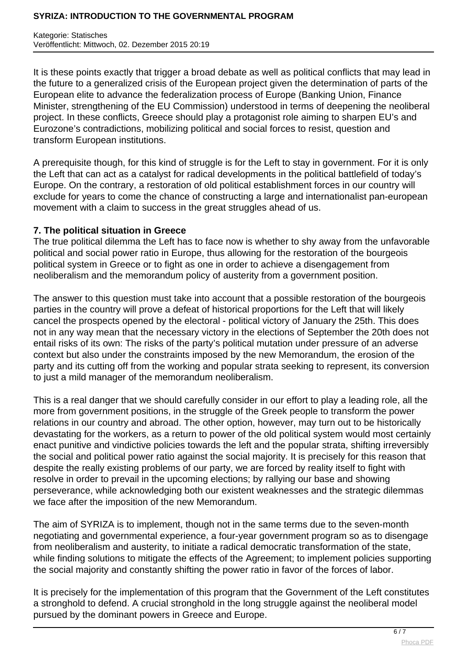It is these points exactly that trigger a broad debate as well as political conflicts that may lead in the future to a generalized crisis of the European project given the determination of parts of the European elite to advance the federalization process of Europe (Banking Union, Finance Minister, strengthening of the EU Commission) understood in terms of deepening the neoliberal project. In these conflicts, Greece should play a protagonist role aiming to sharpen EU's and Eurozone's contradictions, mobilizing political and social forces to resist, question and transform European institutions.

A prerequisite though, for this kind of struggle is for the Left to stay in government. For it is only the Left that can act as a catalyst for radical developments in the political battlefield of today's Europe. On the contrary, a restoration of old political establishment forces in our country will exclude for years to come the chance of constructing a large and internationalist pan-european movement with a claim to success in the great struggles ahead of us.

# **7. The political situation in Greece**

The true political dilemma the Left has to face now is whether to shy away from the unfavorable political and social power ratio in Europe, thus allowing for the restoration of the bourgeois political system in Greece or to fight as one in order to achieve a disengagement from neoliberalism and the memorandum policy of austerity from a government position.

The answer to this question must take into account that a possible restoration of the bourgeois parties in the country will prove a defeat of historical proportions for the Left that will likely cancel the prospects opened by the electoral - political victory of January the 25th. This does not in any way mean that the necessary victory in the elections of September the 20th does not entail risks of its own: The risks of the party's political mutation under pressure of an adverse context but also under the constraints imposed by the new Memorandum, the erosion of the party and its cutting off from the working and popular strata seeking to represent, its conversion to just a mild manager of the memorandum neoliberalism.

This is a real danger that we should carefully consider in our effort to play a leading role, all the more from government positions, in the struggle of the Greek people to transform the power relations in our country and abroad. The other option, however, may turn out to be historically devastating for the workers, as a return to power of the old political system would most certainly enact punitive and vindictive policies towards the left and the popular strata, shifting irreversibly the social and political power ratio against the social majority. It is precisely for this reason that despite the really existing problems of our party, we are forced by reality itself to fight with resolve in order to prevail in the upcoming elections; by rallying our base and showing perseverance, while acknowledging both our existent weaknesses and the strategic dilemmas we face after the imposition of the new Memorandum.

The aim of SYRIZA is to implement, though not in the same terms due to the seven-month negotiating and governmental experience, a four-year government program so as to disengage from neoliberalism and austerity, to initiate a radical democratic transformation of the state, while finding solutions to mitigate the effects of the Agreement; to implement policies supporting the social majority and constantly shifting the power ratio in favor of the forces of labor.

It is precisely for the implementation of this program that the Government of the Left constitutes a stronghold to defend. A crucial stronghold in the long struggle against the neoliberal model pursued by the dominant powers in Greece and Europe.